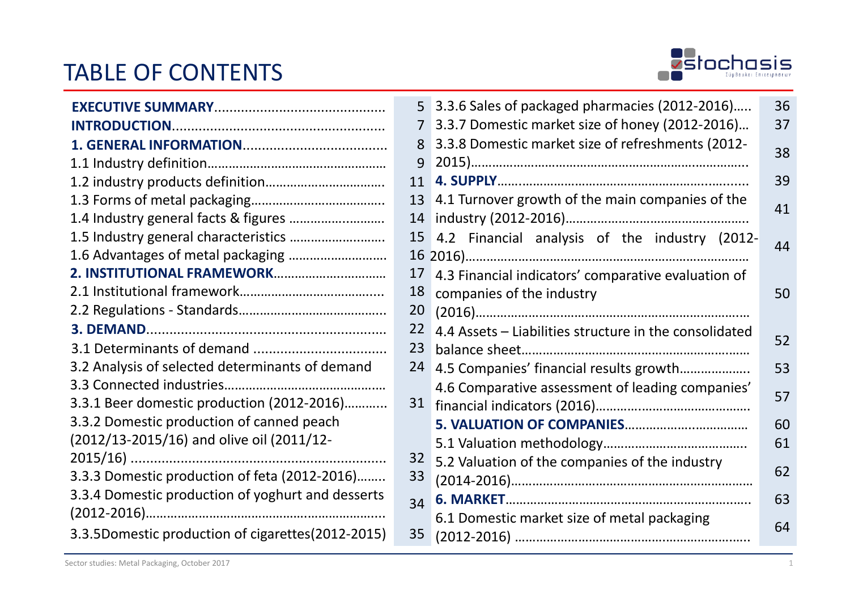## TABLE OF CONTENTS



|                                                   | 5  |
|---------------------------------------------------|----|
|                                                   | 7  |
|                                                   | 8  |
|                                                   | 9  |
|                                                   | 11 |
|                                                   | 13 |
| 1.4 Industry general facts & figures              | 14 |
| 1.5 Industry general characteristics              | 15 |
| 1.6 Advantages of metal packaging                 | 16 |
|                                                   | 17 |
|                                                   | 18 |
|                                                   | 20 |
|                                                   | 22 |
|                                                   | 23 |
| 3.2 Analysis of selected determinants of demand   | 24 |
|                                                   |    |
| 3.3.1 Beer domestic production (2012-2016)        | 31 |
| 3.3.2 Domestic production of canned peach         |    |
| (2012/13-2015/16) and olive oil (2011/12-         |    |
|                                                   | 32 |
| 3.3.3 Domestic production of feta (2012-2016)     | 33 |
| 3.3.4 Domestic production of yoghurt and desserts | 34 |
|                                                   |    |
| 3.3.5Domestic production of cigarettes(2012-2015) | 35 |

| 5              | 3.3.6 Sales of packaged pharmacies (2012-2016)         | 36 |
|----------------|--------------------------------------------------------|----|
| $\overline{7}$ | 3.3.7 Domestic market size of honey (2012-2016)        | 37 |
| 8              | 3.3.8 Domestic market size of refreshments (2012-      | 38 |
| 9              |                                                        |    |
| 11             |                                                        | 39 |
| 13             | 4.1 Turnover growth of the main companies of the       | 41 |
| 14             |                                                        |    |
| 15             | 4.2 Financial analysis of the industry (2012-          | 44 |
| 16             |                                                        |    |
| 17             | 4.3 Financial indicators' comparative evaluation of    |    |
| 18             | companies of the industry                              | 50 |
| 20             |                                                        |    |
| 22             | 4.4 Assets - Liabilities structure in the consolidated | 52 |
| 23             |                                                        |    |
| 24             | 4.5 Companies' financial results growth                | 53 |
|                | 4.6 Comparative assessment of leading companies'       | 57 |
| 31             |                                                        |    |
|                |                                                        | 60 |
|                |                                                        | 61 |
| 32             | 5.2 Valuation of the companies of the industry         |    |
| 33             |                                                        | 62 |
| 34             |                                                        | 63 |
|                | 6.1 Domestic market size of metal packaging            |    |
| 35             |                                                        | 64 |
|                |                                                        |    |